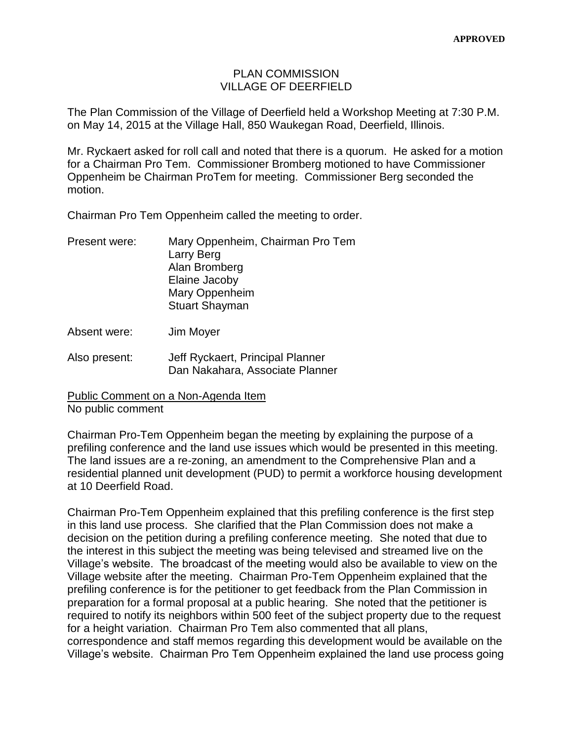## PLAN COMMISSION VILLAGE OF DEERFIELD

The Plan Commission of the Village of Deerfield held a Workshop Meeting at 7:30 P.M. on May 14, 2015 at the Village Hall, 850 Waukegan Road, Deerfield, Illinois.

Mr. Ryckaert asked for roll call and noted that there is a quorum. He asked for a motion for a Chairman Pro Tem. Commissioner Bromberg motioned to have Commissioner Oppenheim be Chairman ProTem for meeting. Commissioner Berg seconded the motion.

Chairman Pro Tem Oppenheim called the meeting to order.

| Mary Oppenheim, Chairman Pro Tem |
|----------------------------------|
| Larry Berg                       |
| Alan Bromberg                    |
| Elaine Jacoby                    |
| Mary Oppenheim                   |
| <b>Stuart Shayman</b>            |
|                                  |

Absent were: Jim Moyer

Also present: Jeff Ryckaert, Principal Planner Dan Nakahara, Associate Planner

Public Comment on a Non-Agenda Item No public comment

Chairman Pro-Tem Oppenheim began the meeting by explaining the purpose of a prefiling conference and the land use issues which would be presented in this meeting. The land issues are a re-zoning, an amendment to the Comprehensive Plan and a residential planned unit development (PUD) to permit a workforce housing development at 10 Deerfield Road.

Chairman Pro-Tem Oppenheim explained that this prefiling conference is the first step in this land use process. She clarified that the Plan Commission does not make a decision on the petition during a prefiling conference meeting. She noted that due to the interest in this subject the meeting was being televised and streamed live on the Village's website. The broadcast of the meeting would also be available to view on the Village website after the meeting. Chairman Pro-Tem Oppenheim explained that the prefiling conference is for the petitioner to get feedback from the Plan Commission in preparation for a formal proposal at a public hearing. She noted that the petitioner is required to notify its neighbors within 500 feet of the subject property due to the request for a height variation. Chairman Pro Tem also commented that all plans, correspondence and staff memos regarding this development would be available on the Village's website. Chairman Pro Tem Oppenheim explained the land use process going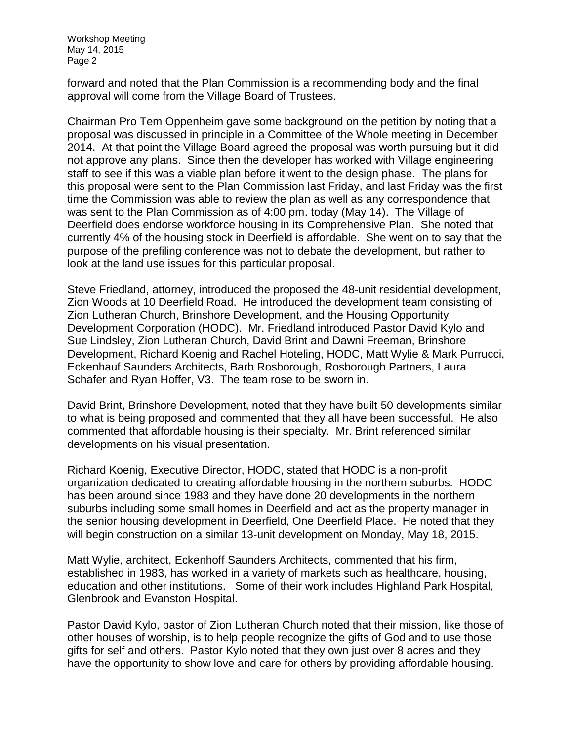forward and noted that the Plan Commission is a recommending body and the final approval will come from the Village Board of Trustees.

Chairman Pro Tem Oppenheim gave some background on the petition by noting that a proposal was discussed in principle in a Committee of the Whole meeting in December 2014. At that point the Village Board agreed the proposal was worth pursuing but it did not approve any plans. Since then the developer has worked with Village engineering staff to see if this was a viable plan before it went to the design phase. The plans for this proposal were sent to the Plan Commission last Friday, and last Friday was the first time the Commission was able to review the plan as well as any correspondence that was sent to the Plan Commission as of 4:00 pm. today (May 14). The Village of Deerfield does endorse workforce housing in its Comprehensive Plan. She noted that currently 4% of the housing stock in Deerfield is affordable. She went on to say that the purpose of the prefiling conference was not to debate the development, but rather to look at the land use issues for this particular proposal.

Steve Friedland, attorney, introduced the proposed the 48-unit residential development, Zion Woods at 10 Deerfield Road. He introduced the development team consisting of Zion Lutheran Church, Brinshore Development, and the Housing Opportunity Development Corporation (HODC). Mr. Friedland introduced Pastor David Kylo and Sue Lindsley, Zion Lutheran Church, David Brint and Dawni Freeman, Brinshore Development, Richard Koenig and Rachel Hoteling, HODC, Matt Wylie & Mark Purrucci, Eckenhauf Saunders Architects, Barb Rosborough, Rosborough Partners, Laura Schafer and Ryan Hoffer, V3. The team rose to be sworn in.

David Brint, Brinshore Development, noted that they have built 50 developments similar to what is being proposed and commented that they all have been successful. He also commented that affordable housing is their specialty. Mr. Brint referenced similar developments on his visual presentation.

Richard Koenig, Executive Director, HODC, stated that HODC is a non-profit organization dedicated to creating affordable housing in the northern suburbs. HODC has been around since 1983 and they have done 20 developments in the northern suburbs including some small homes in Deerfield and act as the property manager in the senior housing development in Deerfield, One Deerfield Place. He noted that they will begin construction on a similar 13-unit development on Monday, May 18, 2015.

Matt Wylie, architect, Eckenhoff Saunders Architects, commented that his firm, established in 1983, has worked in a variety of markets such as healthcare, housing, education and other institutions. Some of their work includes Highland Park Hospital, Glenbrook and Evanston Hospital.

Pastor David Kylo, pastor of Zion Lutheran Church noted that their mission, like those of other houses of worship, is to help people recognize the gifts of God and to use those gifts for self and others. Pastor Kylo noted that they own just over 8 acres and they have the opportunity to show love and care for others by providing affordable housing.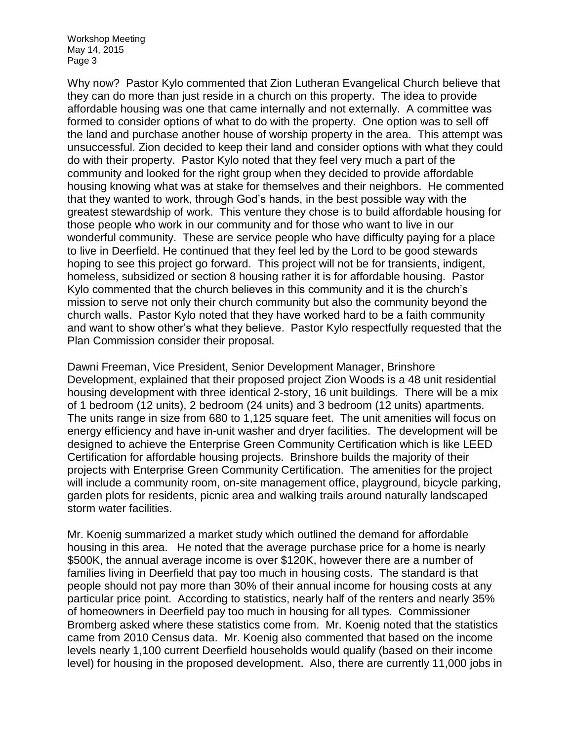Why now? Pastor Kylo commented that Zion Lutheran Evangelical Church believe that they can do more than just reside in a church on this property. The idea to provide affordable housing was one that came internally and not externally. A committee was formed to consider options of what to do with the property. One option was to sell off the land and purchase another house of worship property in the area. This attempt was unsuccessful. Zion decided to keep their land and consider options with what they could do with their property. Pastor Kylo noted that they feel very much a part of the community and looked for the right group when they decided to provide affordable housing knowing what was at stake for themselves and their neighbors. He commented that they wanted to work, through God's hands, in the best possible way with the greatest stewardship of work. This venture they chose is to build affordable housing for those people who work in our community and for those who want to live in our wonderful community. These are service people who have difficulty paying for a place to live in Deerfield. He continued that they feel led by the Lord to be good stewards hoping to see this project go forward. This project will not be for transients, indigent, homeless, subsidized or section 8 housing rather it is for affordable housing. Pastor Kylo commented that the church believes in this community and it is the church's mission to serve not only their church community but also the community beyond the church walls. Pastor Kylo noted that they have worked hard to be a faith community and want to show other's what they believe. Pastor Kylo respectfully requested that the Plan Commission consider their proposal.

Dawni Freeman, Vice President, Senior Development Manager, Brinshore Development, explained that their proposed project Zion Woods is a 48 unit residential housing development with three identical 2-story, 16 unit buildings. There will be a mix of 1 bedroom (12 units), 2 bedroom (24 units) and 3 bedroom (12 units) apartments. The units range in size from 680 to 1,125 square feet. The unit amenities will focus on energy efficiency and have in-unit washer and dryer facilities. The development will be designed to achieve the Enterprise Green Community Certification which is like LEED Certification for affordable housing projects. Brinshore builds the majority of their projects with Enterprise Green Community Certification. The amenities for the project will include a community room, on-site management office, playground, bicycle parking, garden plots for residents, picnic area and walking trails around naturally landscaped storm water facilities.

Mr. Koenig summarized a market study which outlined the demand for affordable housing in this area. He noted that the average purchase price for a home is nearly \$500K, the annual average income is over \$120K, however there are a number of families living in Deerfield that pay too much in housing costs. The standard is that people should not pay more than 30% of their annual income for housing costs at any particular price point. According to statistics, nearly half of the renters and nearly 35% of homeowners in Deerfield pay too much in housing for all types. Commissioner Bromberg asked where these statistics come from. Mr. Koenig noted that the statistics came from 2010 Census data. Mr. Koenig also commented that based on the income levels nearly 1,100 current Deerfield households would qualify (based on their income level) for housing in the proposed development. Also, there are currently 11,000 jobs in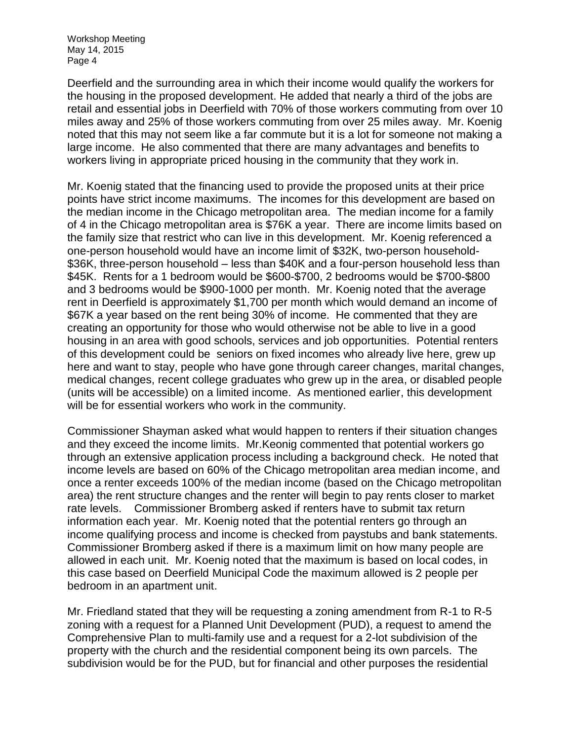Deerfield and the surrounding area in which their income would qualify the workers for the housing in the proposed development. He added that nearly a third of the jobs are retail and essential jobs in Deerfield with 70% of those workers commuting from over 10 miles away and 25% of those workers commuting from over 25 miles away. Mr. Koenig noted that this may not seem like a far commute but it is a lot for someone not making a large income. He also commented that there are many advantages and benefits to workers living in appropriate priced housing in the community that they work in.

Mr. Koenig stated that the financing used to provide the proposed units at their price points have strict income maximums. The incomes for this development are based on the median income in the Chicago metropolitan area. The median income for a family of 4 in the Chicago metropolitan area is \$76K a year. There are income limits based on the family size that restrict who can live in this development. Mr. Koenig referenced a one-person household would have an income limit of \$32K, two-person household- \$36K, three-person household – less than \$40K and a four-person household less than \$45K. Rents for a 1 bedroom would be \$600-\$700, 2 bedrooms would be \$700-\$800 and 3 bedrooms would be \$900-1000 per month. Mr. Koenig noted that the average rent in Deerfield is approximately \$1,700 per month which would demand an income of \$67K a year based on the rent being 30% of income. He commented that they are creating an opportunity for those who would otherwise not be able to live in a good housing in an area with good schools, services and job opportunities. Potential renters of this development could be seniors on fixed incomes who already live here, grew up here and want to stay, people who have gone through career changes, marital changes, medical changes, recent college graduates who grew up in the area, or disabled people (units will be accessible) on a limited income. As mentioned earlier, this development will be for essential workers who work in the community.

Commissioner Shayman asked what would happen to renters if their situation changes and they exceed the income limits. Mr.Keonig commented that potential workers go through an extensive application process including a background check. He noted that income levels are based on 60% of the Chicago metropolitan area median income, and once a renter exceeds 100% of the median income (based on the Chicago metropolitan area) the rent structure changes and the renter will begin to pay rents closer to market rate levels. Commissioner Bromberg asked if renters have to submit tax return information each year. Mr. Koenig noted that the potential renters go through an income qualifying process and income is checked from paystubs and bank statements. Commissioner Bromberg asked if there is a maximum limit on how many people are allowed in each unit. Mr. Koenig noted that the maximum is based on local codes, in this case based on Deerfield Municipal Code the maximum allowed is 2 people per bedroom in an apartment unit.

Mr. Friedland stated that they will be requesting a zoning amendment from R-1 to R-5 zoning with a request for a Planned Unit Development (PUD), a request to amend the Comprehensive Plan to multi-family use and a request for a 2-lot subdivision of the property with the church and the residential component being its own parcels. The subdivision would be for the PUD, but for financial and other purposes the residential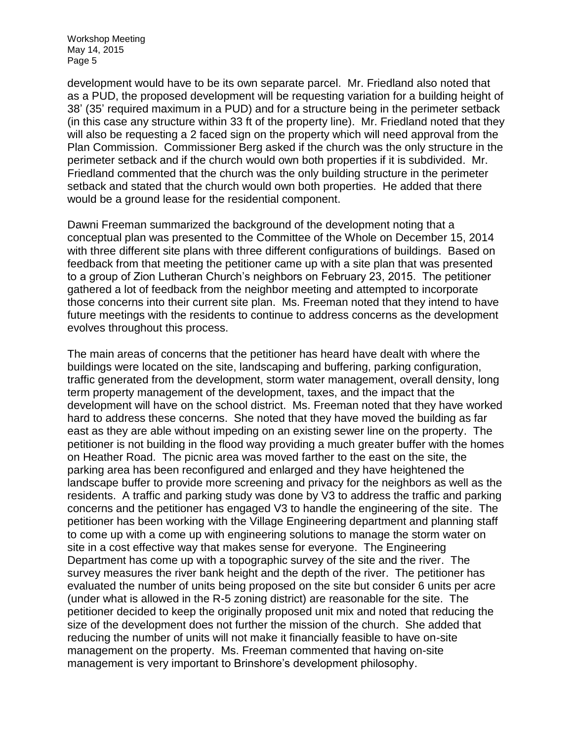development would have to be its own separate parcel. Mr. Friedland also noted that as a PUD, the proposed development will be requesting variation for a building height of 38' (35' required maximum in a PUD) and for a structure being in the perimeter setback (in this case any structure within 33 ft of the property line). Mr. Friedland noted that they will also be requesting a 2 faced sign on the property which will need approval from the Plan Commission. Commissioner Berg asked if the church was the only structure in the perimeter setback and if the church would own both properties if it is subdivided. Mr. Friedland commented that the church was the only building structure in the perimeter setback and stated that the church would own both properties. He added that there would be a ground lease for the residential component.

Dawni Freeman summarized the background of the development noting that a conceptual plan was presented to the Committee of the Whole on December 15, 2014 with three different site plans with three different configurations of buildings. Based on feedback from that meeting the petitioner came up with a site plan that was presented to a group of Zion Lutheran Church's neighbors on February 23, 2015. The petitioner gathered a lot of feedback from the neighbor meeting and attempted to incorporate those concerns into their current site plan. Ms. Freeman noted that they intend to have future meetings with the residents to continue to address concerns as the development evolves throughout this process.

The main areas of concerns that the petitioner has heard have dealt with where the buildings were located on the site, landscaping and buffering, parking configuration, traffic generated from the development, storm water management, overall density, long term property management of the development, taxes, and the impact that the development will have on the school district. Ms. Freeman noted that they have worked hard to address these concerns. She noted that they have moved the building as far east as they are able without impeding on an existing sewer line on the property. The petitioner is not building in the flood way providing a much greater buffer with the homes on Heather Road. The picnic area was moved farther to the east on the site, the parking area has been reconfigured and enlarged and they have heightened the landscape buffer to provide more screening and privacy for the neighbors as well as the residents. A traffic and parking study was done by V3 to address the traffic and parking concerns and the petitioner has engaged V3 to handle the engineering of the site. The petitioner has been working with the Village Engineering department and planning staff to come up with a come up with engineering solutions to manage the storm water on site in a cost effective way that makes sense for everyone. The Engineering Department has come up with a topographic survey of the site and the river. The survey measures the river bank height and the depth of the river. The petitioner has evaluated the number of units being proposed on the site but consider 6 units per acre (under what is allowed in the R-5 zoning district) are reasonable for the site. The petitioner decided to keep the originally proposed unit mix and noted that reducing the size of the development does not further the mission of the church. She added that reducing the number of units will not make it financially feasible to have on-site management on the property. Ms. Freeman commented that having on-site management is very important to Brinshore's development philosophy.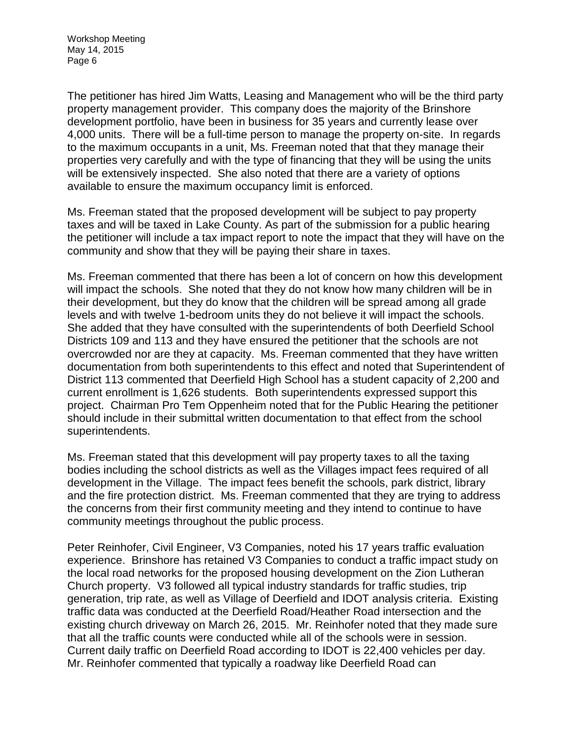The petitioner has hired Jim Watts, Leasing and Management who will be the third party property management provider. This company does the majority of the Brinshore development portfolio, have been in business for 35 years and currently lease over 4,000 units. There will be a full-time person to manage the property on-site. In regards to the maximum occupants in a unit, Ms. Freeman noted that that they manage their properties very carefully and with the type of financing that they will be using the units will be extensively inspected. She also noted that there are a variety of options available to ensure the maximum occupancy limit is enforced.

Ms. Freeman stated that the proposed development will be subject to pay property taxes and will be taxed in Lake County. As part of the submission for a public hearing the petitioner will include a tax impact report to note the impact that they will have on the community and show that they will be paying their share in taxes.

Ms. Freeman commented that there has been a lot of concern on how this development will impact the schools. She noted that they do not know how many children will be in their development, but they do know that the children will be spread among all grade levels and with twelve 1-bedroom units they do not believe it will impact the schools. She added that they have consulted with the superintendents of both Deerfield School Districts 109 and 113 and they have ensured the petitioner that the schools are not overcrowded nor are they at capacity. Ms. Freeman commented that they have written documentation from both superintendents to this effect and noted that Superintendent of District 113 commented that Deerfield High School has a student capacity of 2,200 and current enrollment is 1,626 students. Both superintendents expressed support this project. Chairman Pro Tem Oppenheim noted that for the Public Hearing the petitioner should include in their submittal written documentation to that effect from the school superintendents.

Ms. Freeman stated that this development will pay property taxes to all the taxing bodies including the school districts as well as the Villages impact fees required of all development in the Village. The impact fees benefit the schools, park district, library and the fire protection district. Ms. Freeman commented that they are trying to address the concerns from their first community meeting and they intend to continue to have community meetings throughout the public process.

Peter Reinhofer, Civil Engineer, V3 Companies, noted his 17 years traffic evaluation experience. Brinshore has retained V3 Companies to conduct a traffic impact study on the local road networks for the proposed housing development on the Zion Lutheran Church property. V3 followed all typical industry standards for traffic studies, trip generation, trip rate, as well as Village of Deerfield and IDOT analysis criteria. Existing traffic data was conducted at the Deerfield Road/Heather Road intersection and the existing church driveway on March 26, 2015. Mr. Reinhofer noted that they made sure that all the traffic counts were conducted while all of the schools were in session. Current daily traffic on Deerfield Road according to IDOT is 22,400 vehicles per day. Mr. Reinhofer commented that typically a roadway like Deerfield Road can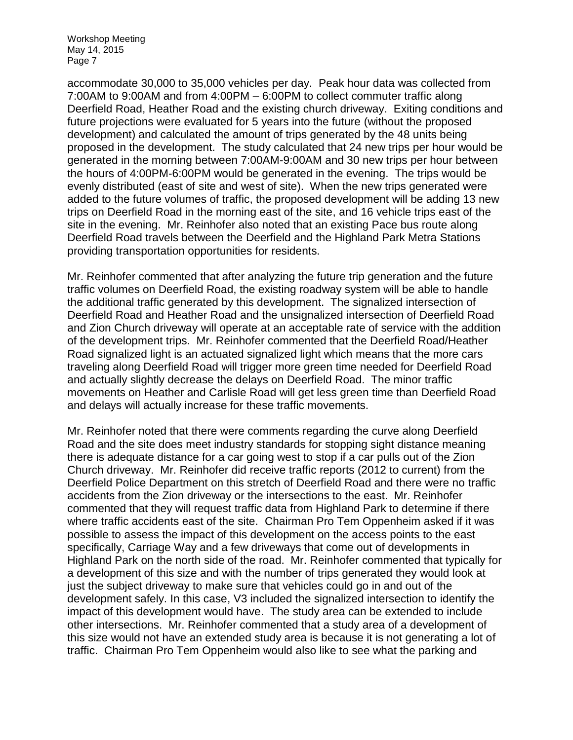accommodate 30,000 to 35,000 vehicles per day. Peak hour data was collected from 7:00AM to 9:00AM and from 4:00PM – 6:00PM to collect commuter traffic along Deerfield Road, Heather Road and the existing church driveway. Exiting conditions and future projections were evaluated for 5 years into the future (without the proposed development) and calculated the amount of trips generated by the 48 units being proposed in the development. The study calculated that 24 new trips per hour would be generated in the morning between 7:00AM-9:00AM and 30 new trips per hour between the hours of 4:00PM-6:00PM would be generated in the evening. The trips would be evenly distributed (east of site and west of site). When the new trips generated were added to the future volumes of traffic, the proposed development will be adding 13 new trips on Deerfield Road in the morning east of the site, and 16 vehicle trips east of the site in the evening. Mr. Reinhofer also noted that an existing Pace bus route along Deerfield Road travels between the Deerfield and the Highland Park Metra Stations providing transportation opportunities for residents.

Mr. Reinhofer commented that after analyzing the future trip generation and the future traffic volumes on Deerfield Road, the existing roadway system will be able to handle the additional traffic generated by this development. The signalized intersection of Deerfield Road and Heather Road and the unsignalized intersection of Deerfield Road and Zion Church driveway will operate at an acceptable rate of service with the addition of the development trips. Mr. Reinhofer commented that the Deerfield Road/Heather Road signalized light is an actuated signalized light which means that the more cars traveling along Deerfield Road will trigger more green time needed for Deerfield Road and actually slightly decrease the delays on Deerfield Road. The minor traffic movements on Heather and Carlisle Road will get less green time than Deerfield Road and delays will actually increase for these traffic movements.

Mr. Reinhofer noted that there were comments regarding the curve along Deerfield Road and the site does meet industry standards for stopping sight distance meaning there is adequate distance for a car going west to stop if a car pulls out of the Zion Church driveway. Mr. Reinhofer did receive traffic reports (2012 to current) from the Deerfield Police Department on this stretch of Deerfield Road and there were no traffic accidents from the Zion driveway or the intersections to the east. Mr. Reinhofer commented that they will request traffic data from Highland Park to determine if there where traffic accidents east of the site. Chairman Pro Tem Oppenheim asked if it was possible to assess the impact of this development on the access points to the east specifically, Carriage Way and a few driveways that come out of developments in Highland Park on the north side of the road. Mr. Reinhofer commented that typically for a development of this size and with the number of trips generated they would look at just the subject driveway to make sure that vehicles could go in and out of the development safely. In this case, V3 included the signalized intersection to identify the impact of this development would have. The study area can be extended to include other intersections. Mr. Reinhofer commented that a study area of a development of this size would not have an extended study area is because it is not generating a lot of traffic. Chairman Pro Tem Oppenheim would also like to see what the parking and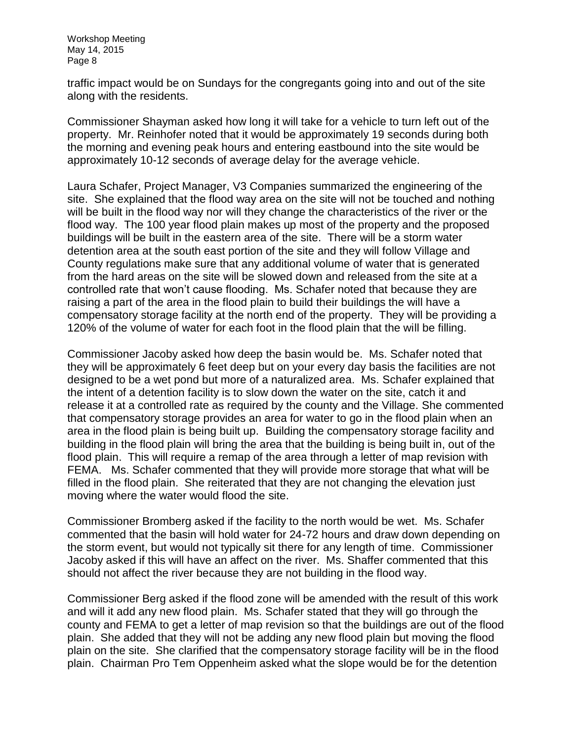traffic impact would be on Sundays for the congregants going into and out of the site along with the residents.

Commissioner Shayman asked how long it will take for a vehicle to turn left out of the property. Mr. Reinhofer noted that it would be approximately 19 seconds during both the morning and evening peak hours and entering eastbound into the site would be approximately 10-12 seconds of average delay for the average vehicle.

Laura Schafer, Project Manager, V3 Companies summarized the engineering of the site. She explained that the flood way area on the site will not be touched and nothing will be built in the flood way nor will they change the characteristics of the river or the flood way. The 100 year flood plain makes up most of the property and the proposed buildings will be built in the eastern area of the site. There will be a storm water detention area at the south east portion of the site and they will follow Village and County regulations make sure that any additional volume of water that is generated from the hard areas on the site will be slowed down and released from the site at a controlled rate that won't cause flooding. Ms. Schafer noted that because they are raising a part of the area in the flood plain to build their buildings the will have a compensatory storage facility at the north end of the property. They will be providing a 120% of the volume of water for each foot in the flood plain that the will be filling.

Commissioner Jacoby asked how deep the basin would be. Ms. Schafer noted that they will be approximately 6 feet deep but on your every day basis the facilities are not designed to be a wet pond but more of a naturalized area. Ms. Schafer explained that the intent of a detention facility is to slow down the water on the site, catch it and release it at a controlled rate as required by the county and the Village. She commented that compensatory storage provides an area for water to go in the flood plain when an area in the flood plain is being built up. Building the compensatory storage facility and building in the flood plain will bring the area that the building is being built in, out of the flood plain. This will require a remap of the area through a letter of map revision with FEMA. Ms. Schafer commented that they will provide more storage that what will be filled in the flood plain. She reiterated that they are not changing the elevation just moving where the water would flood the site.

Commissioner Bromberg asked if the facility to the north would be wet. Ms. Schafer commented that the basin will hold water for 24-72 hours and draw down depending on the storm event, but would not typically sit there for any length of time. Commissioner Jacoby asked if this will have an affect on the river. Ms. Shaffer commented that this should not affect the river because they are not building in the flood way.

Commissioner Berg asked if the flood zone will be amended with the result of this work and will it add any new flood plain. Ms. Schafer stated that they will go through the county and FEMA to get a letter of map revision so that the buildings are out of the flood plain. She added that they will not be adding any new flood plain but moving the flood plain on the site. She clarified that the compensatory storage facility will be in the flood plain. Chairman Pro Tem Oppenheim asked what the slope would be for the detention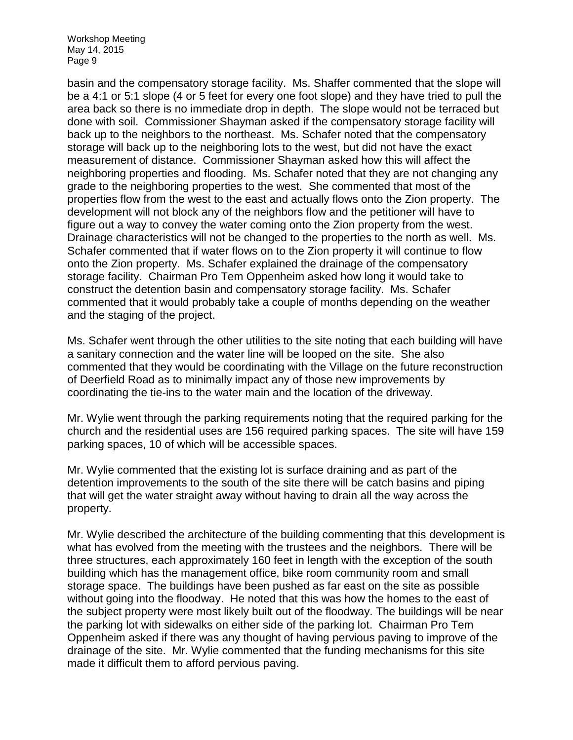basin and the compensatory storage facility. Ms. Shaffer commented that the slope will be a 4:1 or 5:1 slope (4 or 5 feet for every one foot slope) and they have tried to pull the area back so there is no immediate drop in depth. The slope would not be terraced but done with soil. Commissioner Shayman asked if the compensatory storage facility will back up to the neighbors to the northeast. Ms. Schafer noted that the compensatory storage will back up to the neighboring lots to the west, but did not have the exact measurement of distance. Commissioner Shayman asked how this will affect the neighboring properties and flooding. Ms. Schafer noted that they are not changing any grade to the neighboring properties to the west. She commented that most of the properties flow from the west to the east and actually flows onto the Zion property. The development will not block any of the neighbors flow and the petitioner will have to figure out a way to convey the water coming onto the Zion property from the west. Drainage characteristics will not be changed to the properties to the north as well. Ms. Schafer commented that if water flows on to the Zion property it will continue to flow onto the Zion property. Ms. Schafer explained the drainage of the compensatory storage facility. Chairman Pro Tem Oppenheim asked how long it would take to construct the detention basin and compensatory storage facility. Ms. Schafer commented that it would probably take a couple of months depending on the weather and the staging of the project.

Ms. Schafer went through the other utilities to the site noting that each building will have a sanitary connection and the water line will be looped on the site. She also commented that they would be coordinating with the Village on the future reconstruction of Deerfield Road as to minimally impact any of those new improvements by coordinating the tie-ins to the water main and the location of the driveway.

Mr. Wylie went through the parking requirements noting that the required parking for the church and the residential uses are 156 required parking spaces. The site will have 159 parking spaces, 10 of which will be accessible spaces.

Mr. Wylie commented that the existing lot is surface draining and as part of the detention improvements to the south of the site there will be catch basins and piping that will get the water straight away without having to drain all the way across the property.

Mr. Wylie described the architecture of the building commenting that this development is what has evolved from the meeting with the trustees and the neighbors. There will be three structures, each approximately 160 feet in length with the exception of the south building which has the management office, bike room community room and small storage space. The buildings have been pushed as far east on the site as possible without going into the floodway. He noted that this was how the homes to the east of the subject property were most likely built out of the floodway. The buildings will be near the parking lot with sidewalks on either side of the parking lot. Chairman Pro Tem Oppenheim asked if there was any thought of having pervious paving to improve of the drainage of the site. Mr. Wylie commented that the funding mechanisms for this site made it difficult them to afford pervious paving.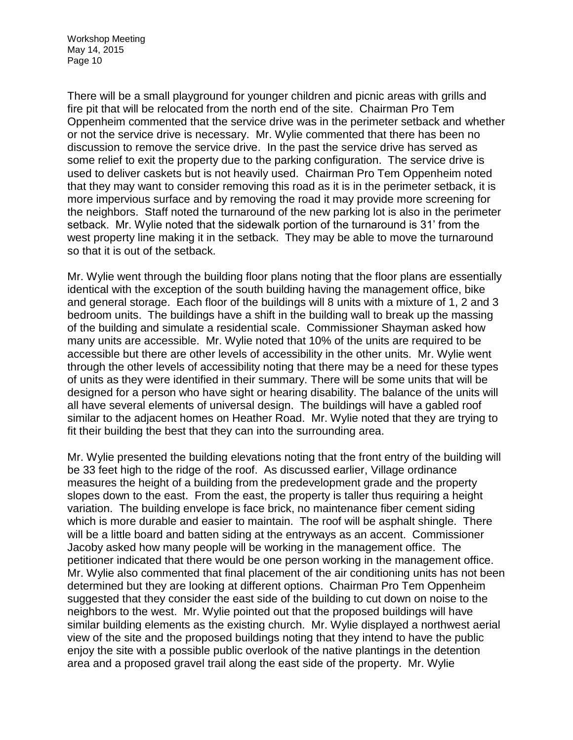There will be a small playground for younger children and picnic areas with grills and fire pit that will be relocated from the north end of the site. Chairman Pro Tem Oppenheim commented that the service drive was in the perimeter setback and whether or not the service drive is necessary. Mr. Wylie commented that there has been no discussion to remove the service drive. In the past the service drive has served as some relief to exit the property due to the parking configuration. The service drive is used to deliver caskets but is not heavily used. Chairman Pro Tem Oppenheim noted that they may want to consider removing this road as it is in the perimeter setback, it is more impervious surface and by removing the road it may provide more screening for the neighbors. Staff noted the turnaround of the new parking lot is also in the perimeter setback. Mr. Wylie noted that the sidewalk portion of the turnaround is 31' from the west property line making it in the setback. They may be able to move the turnaround so that it is out of the setback.

Mr. Wylie went through the building floor plans noting that the floor plans are essentially identical with the exception of the south building having the management office, bike and general storage. Each floor of the buildings will 8 units with a mixture of 1, 2 and 3 bedroom units. The buildings have a shift in the building wall to break up the massing of the building and simulate a residential scale. Commissioner Shayman asked how many units are accessible. Mr. Wylie noted that 10% of the units are required to be accessible but there are other levels of accessibility in the other units. Mr. Wylie went through the other levels of accessibility noting that there may be a need for these types of units as they were identified in their summary. There will be some units that will be designed for a person who have sight or hearing disability. The balance of the units will all have several elements of universal design. The buildings will have a gabled roof similar to the adjacent homes on Heather Road. Mr. Wylie noted that they are trying to fit their building the best that they can into the surrounding area.

Mr. Wylie presented the building elevations noting that the front entry of the building will be 33 feet high to the ridge of the roof. As discussed earlier, Village ordinance measures the height of a building from the predevelopment grade and the property slopes down to the east. From the east, the property is taller thus requiring a height variation. The building envelope is face brick, no maintenance fiber cement siding which is more durable and easier to maintain. The roof will be asphalt shingle. There will be a little board and batten siding at the entryways as an accent. Commissioner Jacoby asked how many people will be working in the management office. The petitioner indicated that there would be one person working in the management office. Mr. Wylie also commented that final placement of the air conditioning units has not been determined but they are looking at different options. Chairman Pro Tem Oppenheim suggested that they consider the east side of the building to cut down on noise to the neighbors to the west. Mr. Wylie pointed out that the proposed buildings will have similar building elements as the existing church. Mr. Wylie displayed a northwest aerial view of the site and the proposed buildings noting that they intend to have the public enjoy the site with a possible public overlook of the native plantings in the detention area and a proposed gravel trail along the east side of the property. Mr. Wylie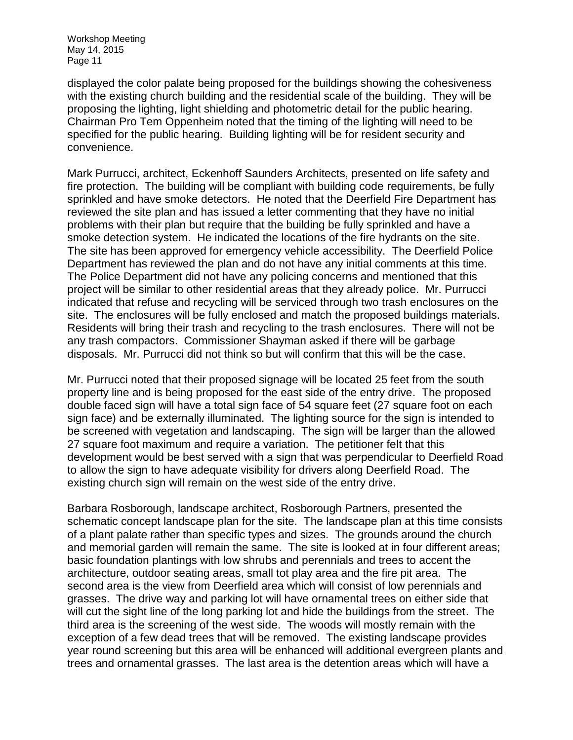displayed the color palate being proposed for the buildings showing the cohesiveness with the existing church building and the residential scale of the building. They will be proposing the lighting, light shielding and photometric detail for the public hearing. Chairman Pro Tem Oppenheim noted that the timing of the lighting will need to be specified for the public hearing. Building lighting will be for resident security and convenience.

Mark Purrucci, architect, Eckenhoff Saunders Architects, presented on life safety and fire protection. The building will be compliant with building code requirements, be fully sprinkled and have smoke detectors. He noted that the Deerfield Fire Department has reviewed the site plan and has issued a letter commenting that they have no initial problems with their plan but require that the building be fully sprinkled and have a smoke detection system. He indicated the locations of the fire hydrants on the site. The site has been approved for emergency vehicle accessibility. The Deerfield Police Department has reviewed the plan and do not have any initial comments at this time. The Police Department did not have any policing concerns and mentioned that this project will be similar to other residential areas that they already police. Mr. Purrucci indicated that refuse and recycling will be serviced through two trash enclosures on the site. The enclosures will be fully enclosed and match the proposed buildings materials. Residents will bring their trash and recycling to the trash enclosures. There will not be any trash compactors. Commissioner Shayman asked if there will be garbage disposals. Mr. Purrucci did not think so but will confirm that this will be the case.

Mr. Purrucci noted that their proposed signage will be located 25 feet from the south property line and is being proposed for the east side of the entry drive. The proposed double faced sign will have a total sign face of 54 square feet (27 square foot on each sign face) and be externally illuminated. The lighting source for the sign is intended to be screened with vegetation and landscaping. The sign will be larger than the allowed 27 square foot maximum and require a variation. The petitioner felt that this development would be best served with a sign that was perpendicular to Deerfield Road to allow the sign to have adequate visibility for drivers along Deerfield Road. The existing church sign will remain on the west side of the entry drive.

Barbara Rosborough, landscape architect, Rosborough Partners, presented the schematic concept landscape plan for the site. The landscape plan at this time consists of a plant palate rather than specific types and sizes. The grounds around the church and memorial garden will remain the same. The site is looked at in four different areas; basic foundation plantings with low shrubs and perennials and trees to accent the architecture, outdoor seating areas, small tot play area and the fire pit area. The second area is the view from Deerfield area which will consist of low perennials and grasses. The drive way and parking lot will have ornamental trees on either side that will cut the sight line of the long parking lot and hide the buildings from the street. The third area is the screening of the west side. The woods will mostly remain with the exception of a few dead trees that will be removed. The existing landscape provides year round screening but this area will be enhanced will additional evergreen plants and trees and ornamental grasses. The last area is the detention areas which will have a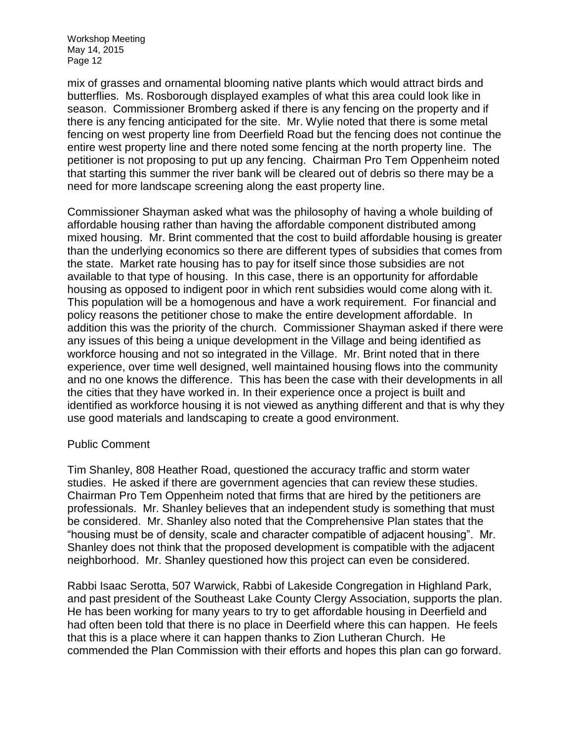mix of grasses and ornamental blooming native plants which would attract birds and butterflies. Ms. Rosborough displayed examples of what this area could look like in season. Commissioner Bromberg asked if there is any fencing on the property and if there is any fencing anticipated for the site. Mr. Wylie noted that there is some metal fencing on west property line from Deerfield Road but the fencing does not continue the entire west property line and there noted some fencing at the north property line. The petitioner is not proposing to put up any fencing. Chairman Pro Tem Oppenheim noted that starting this summer the river bank will be cleared out of debris so there may be a need for more landscape screening along the east property line.

Commissioner Shayman asked what was the philosophy of having a whole building of affordable housing rather than having the affordable component distributed among mixed housing. Mr. Brint commented that the cost to build affordable housing is greater than the underlying economics so there are different types of subsidies that comes from the state. Market rate housing has to pay for itself since those subsidies are not available to that type of housing. In this case, there is an opportunity for affordable housing as opposed to indigent poor in which rent subsidies would come along with it. This population will be a homogenous and have a work requirement. For financial and policy reasons the petitioner chose to make the entire development affordable. In addition this was the priority of the church. Commissioner Shayman asked if there were any issues of this being a unique development in the Village and being identified as workforce housing and not so integrated in the Village. Mr. Brint noted that in there experience, over time well designed, well maintained housing flows into the community and no one knows the difference. This has been the case with their developments in all the cities that they have worked in. In their experience once a project is built and identified as workforce housing it is not viewed as anything different and that is why they use good materials and landscaping to create a good environment.

## Public Comment

Tim Shanley, 808 Heather Road, questioned the accuracy traffic and storm water studies. He asked if there are government agencies that can review these studies. Chairman Pro Tem Oppenheim noted that firms that are hired by the petitioners are professionals. Mr. Shanley believes that an independent study is something that must be considered. Mr. Shanley also noted that the Comprehensive Plan states that the "housing must be of density, scale and character compatible of adjacent housing". Mr. Shanley does not think that the proposed development is compatible with the adjacent neighborhood. Mr. Shanley questioned how this project can even be considered.

Rabbi Isaac Serotta, 507 Warwick, Rabbi of Lakeside Congregation in Highland Park, and past president of the Southeast Lake County Clergy Association, supports the plan. He has been working for many years to try to get affordable housing in Deerfield and had often been told that there is no place in Deerfield where this can happen. He feels that this is a place where it can happen thanks to Zion Lutheran Church. He commended the Plan Commission with their efforts and hopes this plan can go forward.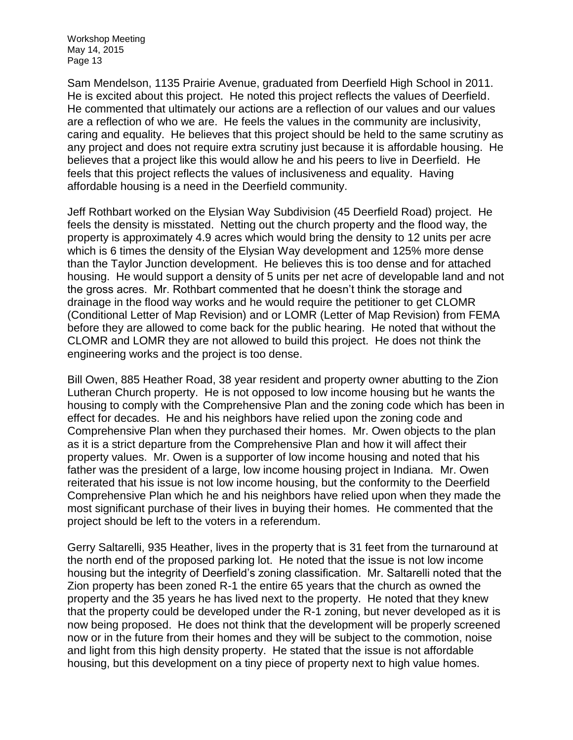Sam Mendelson, 1135 Prairie Avenue, graduated from Deerfield High School in 2011. He is excited about this project. He noted this project reflects the values of Deerfield. He commented that ultimately our actions are a reflection of our values and our values are a reflection of who we are. He feels the values in the community are inclusivity, caring and equality. He believes that this project should be held to the same scrutiny as any project and does not require extra scrutiny just because it is affordable housing. He believes that a project like this would allow he and his peers to live in Deerfield. He feels that this project reflects the values of inclusiveness and equality. Having affordable housing is a need in the Deerfield community.

Jeff Rothbart worked on the Elysian Way Subdivision (45 Deerfield Road) project. He feels the density is misstated. Netting out the church property and the flood way, the property is approximately 4.9 acres which would bring the density to 12 units per acre which is 6 times the density of the Elysian Way development and 125% more dense than the Taylor Junction development. He believes this is too dense and for attached housing. He would support a density of 5 units per net acre of developable land and not the gross acres. Mr. Rothbart commented that he doesn't think the storage and drainage in the flood way works and he would require the petitioner to get CLOMR (Conditional Letter of Map Revision) and or LOMR (Letter of Map Revision) from FEMA before they are allowed to come back for the public hearing. He noted that without the CLOMR and LOMR they are not allowed to build this project. He does not think the engineering works and the project is too dense.

Bill Owen, 885 Heather Road, 38 year resident and property owner abutting to the Zion Lutheran Church property. He is not opposed to low income housing but he wants the housing to comply with the Comprehensive Plan and the zoning code which has been in effect for decades. He and his neighbors have relied upon the zoning code and Comprehensive Plan when they purchased their homes. Mr. Owen objects to the plan as it is a strict departure from the Comprehensive Plan and how it will affect their property values. Mr. Owen is a supporter of low income housing and noted that his father was the president of a large, low income housing project in Indiana. Mr. Owen reiterated that his issue is not low income housing, but the conformity to the Deerfield Comprehensive Plan which he and his neighbors have relied upon when they made the most significant purchase of their lives in buying their homes. He commented that the project should be left to the voters in a referendum.

Gerry Saltarelli, 935 Heather, lives in the property that is 31 feet from the turnaround at the north end of the proposed parking lot. He noted that the issue is not low income housing but the integrity of Deerfield's zoning classification. Mr. Saltarelli noted that the Zion property has been zoned R-1 the entire 65 years that the church as owned the property and the 35 years he has lived next to the property. He noted that they knew that the property could be developed under the R-1 zoning, but never developed as it is now being proposed. He does not think that the development will be properly screened now or in the future from their homes and they will be subject to the commotion, noise and light from this high density property. He stated that the issue is not affordable housing, but this development on a tiny piece of property next to high value homes.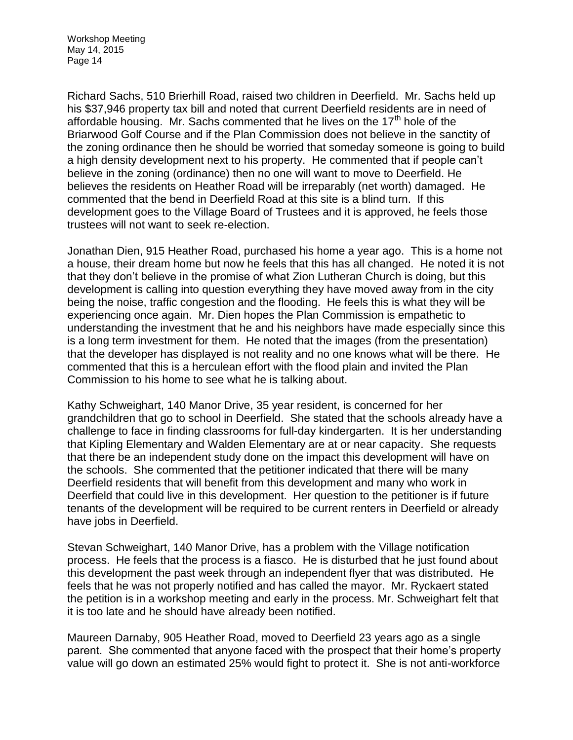Richard Sachs, 510 Brierhill Road, raised two children in Deerfield. Mr. Sachs held up his \$37,946 property tax bill and noted that current Deerfield residents are in need of affordable housing. Mr. Sachs commented that he lives on the  $17<sup>th</sup>$  hole of the Briarwood Golf Course and if the Plan Commission does not believe in the sanctity of the zoning ordinance then he should be worried that someday someone is going to build a high density development next to his property. He commented that if people can't believe in the zoning (ordinance) then no one will want to move to Deerfield. He believes the residents on Heather Road will be irreparably (net worth) damaged. He commented that the bend in Deerfield Road at this site is a blind turn. If this development goes to the Village Board of Trustees and it is approved, he feels those trustees will not want to seek re-election.

Jonathan Dien, 915 Heather Road, purchased his home a year ago. This is a home not a house, their dream home but now he feels that this has all changed. He noted it is not that they don't believe in the promise of what Zion Lutheran Church is doing, but this development is calling into question everything they have moved away from in the city being the noise, traffic congestion and the flooding. He feels this is what they will be experiencing once again. Mr. Dien hopes the Plan Commission is empathetic to understanding the investment that he and his neighbors have made especially since this is a long term investment for them. He noted that the images (from the presentation) that the developer has displayed is not reality and no one knows what will be there. He commented that this is a herculean effort with the flood plain and invited the Plan Commission to his home to see what he is talking about.

Kathy Schweighart, 140 Manor Drive, 35 year resident, is concerned for her grandchildren that go to school in Deerfield. She stated that the schools already have a challenge to face in finding classrooms for full-day kindergarten. It is her understanding that Kipling Elementary and Walden Elementary are at or near capacity. She requests that there be an independent study done on the impact this development will have on the schools. She commented that the petitioner indicated that there will be many Deerfield residents that will benefit from this development and many who work in Deerfield that could live in this development. Her question to the petitioner is if future tenants of the development will be required to be current renters in Deerfield or already have jobs in Deerfield.

Stevan Schweighart, 140 Manor Drive, has a problem with the Village notification process. He feels that the process is a fiasco. He is disturbed that he just found about this development the past week through an independent flyer that was distributed. He feels that he was not properly notified and has called the mayor. Mr. Ryckaert stated the petition is in a workshop meeting and early in the process. Mr. Schweighart felt that it is too late and he should have already been notified.

Maureen Darnaby, 905 Heather Road, moved to Deerfield 23 years ago as a single parent. She commented that anyone faced with the prospect that their home's property value will go down an estimated 25% would fight to protect it. She is not anti-workforce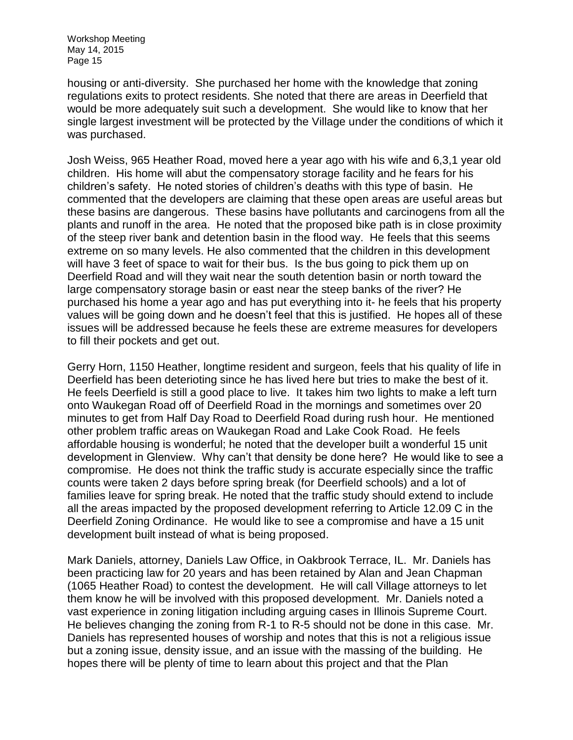housing or anti-diversity. She purchased her home with the knowledge that zoning regulations exits to protect residents. She noted that there are areas in Deerfield that would be more adequately suit such a development. She would like to know that her single largest investment will be protected by the Village under the conditions of which it was purchased.

Josh Weiss, 965 Heather Road, moved here a year ago with his wife and 6,3,1 year old children. His home will abut the compensatory storage facility and he fears for his children's safety. He noted stories of children's deaths with this type of basin. He commented that the developers are claiming that these open areas are useful areas but these basins are dangerous. These basins have pollutants and carcinogens from all the plants and runoff in the area. He noted that the proposed bike path is in close proximity of the steep river bank and detention basin in the flood way. He feels that this seems extreme on so many levels. He also commented that the children in this development will have 3 feet of space to wait for their bus. Is the bus going to pick them up on Deerfield Road and will they wait near the south detention basin or north toward the large compensatory storage basin or east near the steep banks of the river? He purchased his home a year ago and has put everything into it- he feels that his property values will be going down and he doesn't feel that this is justified. He hopes all of these issues will be addressed because he feels these are extreme measures for developers to fill their pockets and get out.

Gerry Horn, 1150 Heather, longtime resident and surgeon, feels that his quality of life in Deerfield has been deterioting since he has lived here but tries to make the best of it. He feels Deerfield is still a good place to live. It takes him two lights to make a left turn onto Waukegan Road off of Deerfield Road in the mornings and sometimes over 20 minutes to get from Half Day Road to Deerfield Road during rush hour. He mentioned other problem traffic areas on Waukegan Road and Lake Cook Road. He feels affordable housing is wonderful; he noted that the developer built a wonderful 15 unit development in Glenview. Why can't that density be done here? He would like to see a compromise. He does not think the traffic study is accurate especially since the traffic counts were taken 2 days before spring break (for Deerfield schools) and a lot of families leave for spring break. He noted that the traffic study should extend to include all the areas impacted by the proposed development referring to Article 12.09 C in the Deerfield Zoning Ordinance. He would like to see a compromise and have a 15 unit development built instead of what is being proposed.

Mark Daniels, attorney, Daniels Law Office, in Oakbrook Terrace, IL. Mr. Daniels has been practicing law for 20 years and has been retained by Alan and Jean Chapman (1065 Heather Road) to contest the development. He will call Village attorneys to let them know he will be involved with this proposed development. Mr. Daniels noted a vast experience in zoning litigation including arguing cases in Illinois Supreme Court. He believes changing the zoning from R-1 to R-5 should not be done in this case. Mr. Daniels has represented houses of worship and notes that this is not a religious issue but a zoning issue, density issue, and an issue with the massing of the building. He hopes there will be plenty of time to learn about this project and that the Plan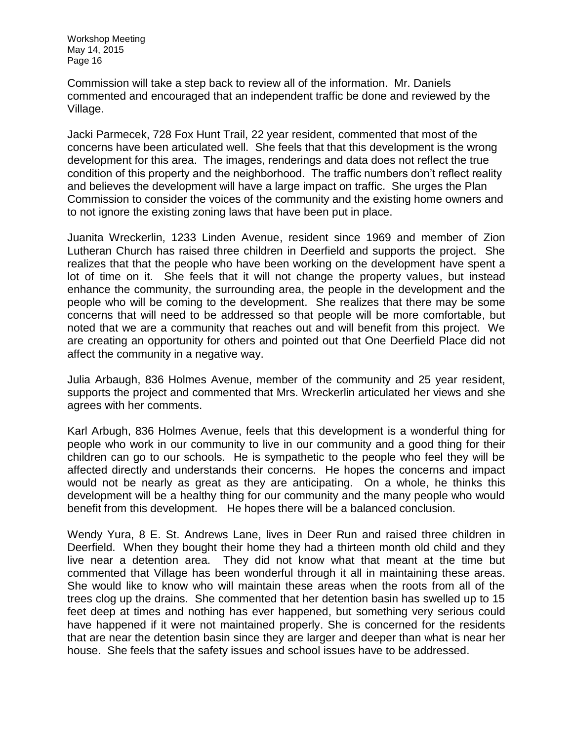Commission will take a step back to review all of the information. Mr. Daniels commented and encouraged that an independent traffic be done and reviewed by the Village.

Jacki Parmecek, 728 Fox Hunt Trail, 22 year resident, commented that most of the concerns have been articulated well. She feels that that this development is the wrong development for this area. The images, renderings and data does not reflect the true condition of this property and the neighborhood. The traffic numbers don't reflect reality and believes the development will have a large impact on traffic. She urges the Plan Commission to consider the voices of the community and the existing home owners and to not ignore the existing zoning laws that have been put in place.

Juanita Wreckerlin, 1233 Linden Avenue, resident since 1969 and member of Zion Lutheran Church has raised three children in Deerfield and supports the project. She realizes that that the people who have been working on the development have spent a lot of time on it. She feels that it will not change the property values, but instead enhance the community, the surrounding area, the people in the development and the people who will be coming to the development. She realizes that there may be some concerns that will need to be addressed so that people will be more comfortable, but noted that we are a community that reaches out and will benefit from this project. We are creating an opportunity for others and pointed out that One Deerfield Place did not affect the community in a negative way.

Julia Arbaugh, 836 Holmes Avenue, member of the community and 25 year resident, supports the project and commented that Mrs. Wreckerlin articulated her views and she agrees with her comments.

Karl Arbugh, 836 Holmes Avenue, feels that this development is a wonderful thing for people who work in our community to live in our community and a good thing for their children can go to our schools. He is sympathetic to the people who feel they will be affected directly and understands their concerns. He hopes the concerns and impact would not be nearly as great as they are anticipating. On a whole, he thinks this development will be a healthy thing for our community and the many people who would benefit from this development. He hopes there will be a balanced conclusion.

Wendy Yura, 8 E. St. Andrews Lane, lives in Deer Run and raised three children in Deerfield. When they bought their home they had a thirteen month old child and they live near a detention area. They did not know what that meant at the time but commented that Village has been wonderful through it all in maintaining these areas. She would like to know who will maintain these areas when the roots from all of the trees clog up the drains. She commented that her detention basin has swelled up to 15 feet deep at times and nothing has ever happened, but something very serious could have happened if it were not maintained properly. She is concerned for the residents that are near the detention basin since they are larger and deeper than what is near her house. She feels that the safety issues and school issues have to be addressed.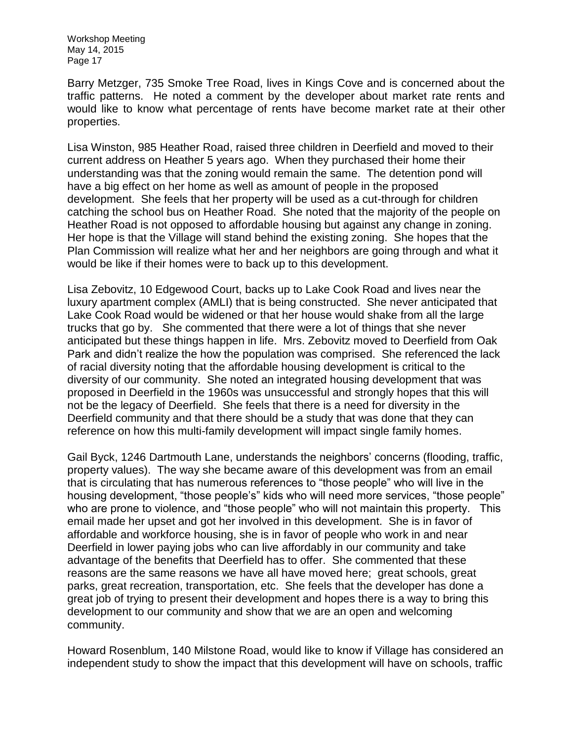Barry Metzger, 735 Smoke Tree Road, lives in Kings Cove and is concerned about the traffic patterns. He noted a comment by the developer about market rate rents and would like to know what percentage of rents have become market rate at their other properties.

Lisa Winston, 985 Heather Road, raised three children in Deerfield and moved to their current address on Heather 5 years ago. When they purchased their home their understanding was that the zoning would remain the same. The detention pond will have a big effect on her home as well as amount of people in the proposed development. She feels that her property will be used as a cut-through for children catching the school bus on Heather Road. She noted that the majority of the people on Heather Road is not opposed to affordable housing but against any change in zoning. Her hope is that the Village will stand behind the existing zoning. She hopes that the Plan Commission will realize what her and her neighbors are going through and what it would be like if their homes were to back up to this development.

Lisa Zebovitz, 10 Edgewood Court, backs up to Lake Cook Road and lives near the luxury apartment complex (AMLI) that is being constructed. She never anticipated that Lake Cook Road would be widened or that her house would shake from all the large trucks that go by. She commented that there were a lot of things that she never anticipated but these things happen in life. Mrs. Zebovitz moved to Deerfield from Oak Park and didn't realize the how the population was comprised. She referenced the lack of racial diversity noting that the affordable housing development is critical to the diversity of our community. She noted an integrated housing development that was proposed in Deerfield in the 1960s was unsuccessful and strongly hopes that this will not be the legacy of Deerfield. She feels that there is a need for diversity in the Deerfield community and that there should be a study that was done that they can reference on how this multi-family development will impact single family homes.

Gail Byck, 1246 Dartmouth Lane, understands the neighbors' concerns (flooding, traffic, property values). The way she became aware of this development was from an email that is circulating that has numerous references to "those people" who will live in the housing development, "those people's" kids who will need more services, "those people" who are prone to violence, and "those people" who will not maintain this property. This email made her upset and got her involved in this development. She is in favor of affordable and workforce housing, she is in favor of people who work in and near Deerfield in lower paying jobs who can live affordably in our community and take advantage of the benefits that Deerfield has to offer. She commented that these reasons are the same reasons we have all have moved here; great schools, great parks, great recreation, transportation, etc. She feels that the developer has done a great job of trying to present their development and hopes there is a way to bring this development to our community and show that we are an open and welcoming community.

Howard Rosenblum, 140 Milstone Road, would like to know if Village has considered an independent study to show the impact that this development will have on schools, traffic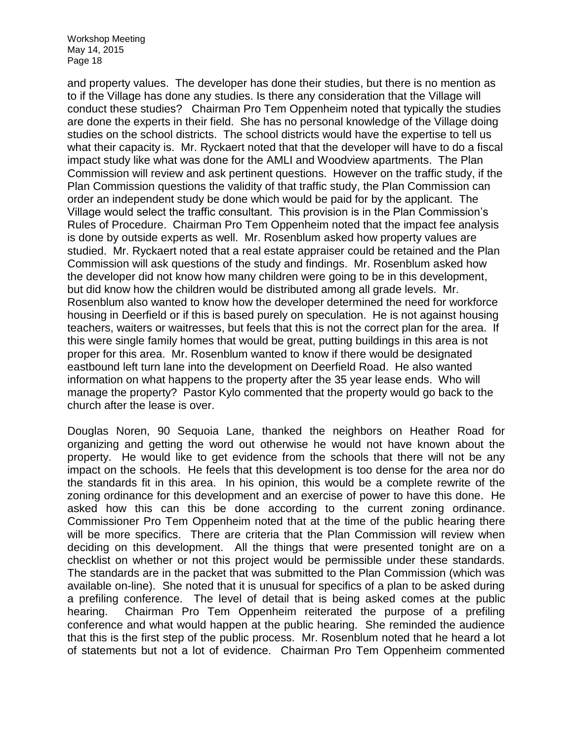and property values. The developer has done their studies, but there is no mention as to if the Village has done any studies. Is there any consideration that the Village will conduct these studies? Chairman Pro Tem Oppenheim noted that typically the studies are done the experts in their field. She has no personal knowledge of the Village doing studies on the school districts. The school districts would have the expertise to tell us what their capacity is. Mr. Ryckaert noted that that the developer will have to do a fiscal impact study like what was done for the AMLI and Woodview apartments. The Plan Commission will review and ask pertinent questions. However on the traffic study, if the Plan Commission questions the validity of that traffic study, the Plan Commission can order an independent study be done which would be paid for by the applicant. The Village would select the traffic consultant. This provision is in the Plan Commission's Rules of Procedure. Chairman Pro Tem Oppenheim noted that the impact fee analysis is done by outside experts as well. Mr. Rosenblum asked how property values are studied. Mr. Ryckaert noted that a real estate appraiser could be retained and the Plan Commission will ask questions of the study and findings. Mr. Rosenblum asked how the developer did not know how many children were going to be in this development, but did know how the children would be distributed among all grade levels. Mr. Rosenblum also wanted to know how the developer determined the need for workforce housing in Deerfield or if this is based purely on speculation. He is not against housing teachers, waiters or waitresses, but feels that this is not the correct plan for the area. If this were single family homes that would be great, putting buildings in this area is not proper for this area. Mr. Rosenblum wanted to know if there would be designated eastbound left turn lane into the development on Deerfield Road. He also wanted information on what happens to the property after the 35 year lease ends. Who will manage the property? Pastor Kylo commented that the property would go back to the church after the lease is over.

Douglas Noren, 90 Sequoia Lane, thanked the neighbors on Heather Road for organizing and getting the word out otherwise he would not have known about the property. He would like to get evidence from the schools that there will not be any impact on the schools. He feels that this development is too dense for the area nor do the standards fit in this area. In his opinion, this would be a complete rewrite of the zoning ordinance for this development and an exercise of power to have this done. He asked how this can this be done according to the current zoning ordinance. Commissioner Pro Tem Oppenheim noted that at the time of the public hearing there will be more specifics. There are criteria that the Plan Commission will review when deciding on this development. All the things that were presented tonight are on a checklist on whether or not this project would be permissible under these standards. The standards are in the packet that was submitted to the Plan Commission (which was available on-line). She noted that it is unusual for specifics of a plan to be asked during a prefiling conference. The level of detail that is being asked comes at the public hearing. Chairman Pro Tem Oppenheim reiterated the purpose of a prefiling conference and what would happen at the public hearing. She reminded the audience that this is the first step of the public process. Mr. Rosenblum noted that he heard a lot of statements but not a lot of evidence. Chairman Pro Tem Oppenheim commented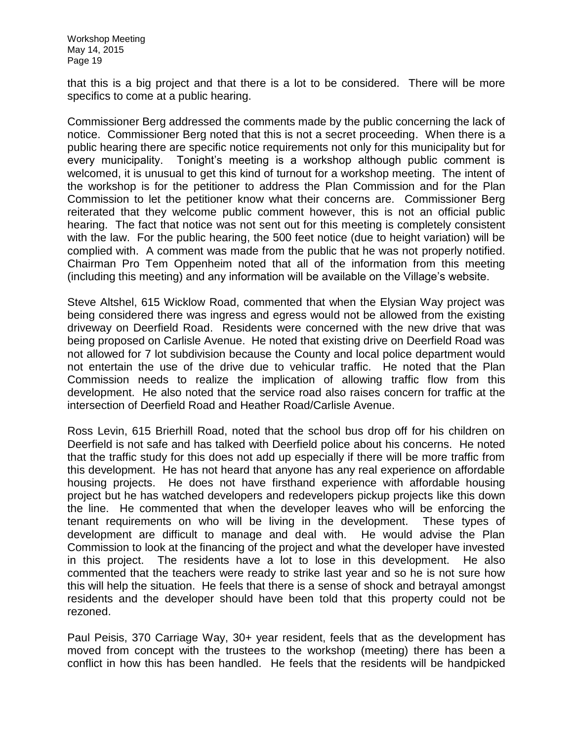that this is a big project and that there is a lot to be considered. There will be more specifics to come at a public hearing.

Commissioner Berg addressed the comments made by the public concerning the lack of notice. Commissioner Berg noted that this is not a secret proceeding. When there is a public hearing there are specific notice requirements not only for this municipality but for every municipality. Tonight's meeting is a workshop although public comment is welcomed, it is unusual to get this kind of turnout for a workshop meeting. The intent of the workshop is for the petitioner to address the Plan Commission and for the Plan Commission to let the petitioner know what their concerns are. Commissioner Berg reiterated that they welcome public comment however, this is not an official public hearing. The fact that notice was not sent out for this meeting is completely consistent with the law. For the public hearing, the 500 feet notice (due to height variation) will be complied with. A comment was made from the public that he was not properly notified. Chairman Pro Tem Oppenheim noted that all of the information from this meeting (including this meeting) and any information will be available on the Village's website.

Steve Altshel, 615 Wicklow Road, commented that when the Elysian Way project was being considered there was ingress and egress would not be allowed from the existing driveway on Deerfield Road. Residents were concerned with the new drive that was being proposed on Carlisle Avenue. He noted that existing drive on Deerfield Road was not allowed for 7 lot subdivision because the County and local police department would not entertain the use of the drive due to vehicular traffic. He noted that the Plan Commission needs to realize the implication of allowing traffic flow from this development. He also noted that the service road also raises concern for traffic at the intersection of Deerfield Road and Heather Road/Carlisle Avenue.

Ross Levin, 615 Brierhill Road, noted that the school bus drop off for his children on Deerfield is not safe and has talked with Deerfield police about his concerns. He noted that the traffic study for this does not add up especially if there will be more traffic from this development. He has not heard that anyone has any real experience on affordable housing projects. He does not have firsthand experience with affordable housing project but he has watched developers and redevelopers pickup projects like this down the line. He commented that when the developer leaves who will be enforcing the tenant requirements on who will be living in the development. These types of development are difficult to manage and deal with. He would advise the Plan Commission to look at the financing of the project and what the developer have invested in this project. The residents have a lot to lose in this development. He also commented that the teachers were ready to strike last year and so he is not sure how this will help the situation. He feels that there is a sense of shock and betrayal amongst residents and the developer should have been told that this property could not be rezoned.

Paul Peisis, 370 Carriage Way, 30+ year resident, feels that as the development has moved from concept with the trustees to the workshop (meeting) there has been a conflict in how this has been handled. He feels that the residents will be handpicked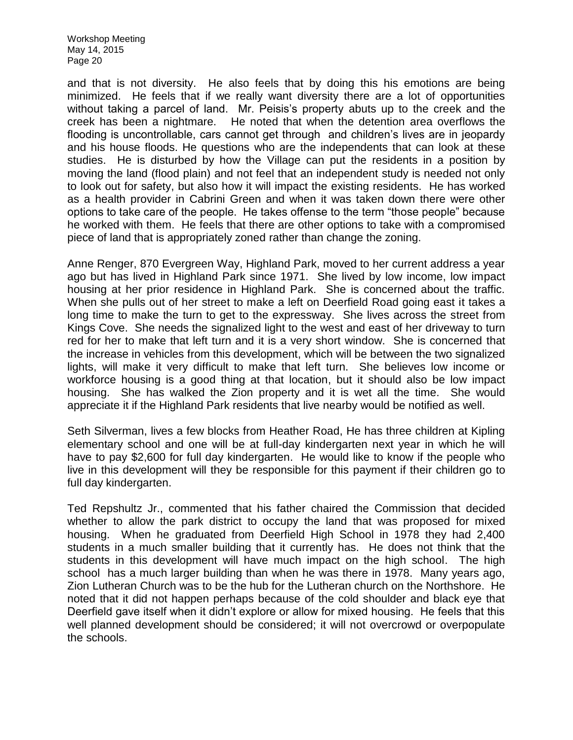and that is not diversity. He also feels that by doing this his emotions are being minimized. He feels that if we really want diversity there are a lot of opportunities without taking a parcel of land. Mr. Peisis's property abuts up to the creek and the creek has been a nightmare. He noted that when the detention area overflows the flooding is uncontrollable, cars cannot get through and children's lives are in jeopardy and his house floods. He questions who are the independents that can look at these studies. He is disturbed by how the Village can put the residents in a position by moving the land (flood plain) and not feel that an independent study is needed not only to look out for safety, but also how it will impact the existing residents. He has worked as a health provider in Cabrini Green and when it was taken down there were other options to take care of the people. He takes offense to the term "those people" because he worked with them. He feels that there are other options to take with a compromised piece of land that is appropriately zoned rather than change the zoning.

Anne Renger, 870 Evergreen Way, Highland Park, moved to her current address a year ago but has lived in Highland Park since 1971. She lived by low income, low impact housing at her prior residence in Highland Park. She is concerned about the traffic. When she pulls out of her street to make a left on Deerfield Road going east it takes a long time to make the turn to get to the expressway. She lives across the street from Kings Cove. She needs the signalized light to the west and east of her driveway to turn red for her to make that left turn and it is a very short window. She is concerned that the increase in vehicles from this development, which will be between the two signalized lights, will make it very difficult to make that left turn. She believes low income or workforce housing is a good thing at that location, but it should also be low impact housing. She has walked the Zion property and it is wet all the time. She would appreciate it if the Highland Park residents that live nearby would be notified as well.

Seth Silverman, lives a few blocks from Heather Road, He has three children at Kipling elementary school and one will be at full-day kindergarten next year in which he will have to pay \$2,600 for full day kindergarten. He would like to know if the people who live in this development will they be responsible for this payment if their children go to full day kindergarten.

Ted Repshultz Jr., commented that his father chaired the Commission that decided whether to allow the park district to occupy the land that was proposed for mixed housing. When he graduated from Deerfield High School in 1978 they had 2,400 students in a much smaller building that it currently has. He does not think that the students in this development will have much impact on the high school. The high school has a much larger building than when he was there in 1978. Many years ago, Zion Lutheran Church was to be the hub for the Lutheran church on the Northshore. He noted that it did not happen perhaps because of the cold shoulder and black eye that Deerfield gave itself when it didn't explore or allow for mixed housing. He feels that this well planned development should be considered; it will not overcrowd or overpopulate the schools.